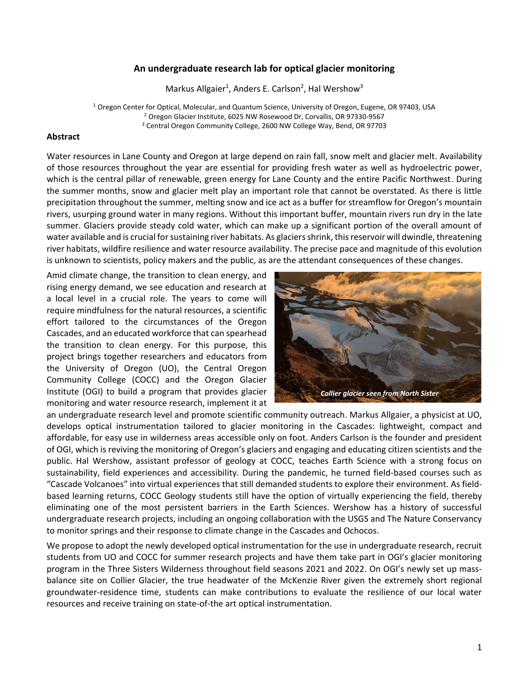#### **An undergraduate research lab for optical glacier monitoring**

Markus Allgaier<sup>1</sup>, Anders E. Carlson<sup>2</sup>, Hal Wershow<sup>3</sup>

<sup>1</sup> Oregon Center for Optical, Molecular, and Quantum Science, University of Oregon, Eugene, OR 97403, USA <sup>2</sup> Oregon Glacier Institute, 6025 NW Rosewood Dr, Corvallis, OR 97330-9567 <sup>3</sup> Central Oregon Community College, 2600 NW College Way, Bend, OR 97703

#### **Abstract**

Water resources in Lane County and Oregon at large depend on rain fall, snow melt and glacier melt. Availability of those resources throughout the year are essential for providing fresh water as well as hydroelectric power, which is the central pillar of renewable, green energy for Lane County and the entire Pacific Northwest. During the summer months, snow and glacier melt play an important role that cannot be overstated. As there is little precipitation throughout the summer, melting snow and ice act as a buffer for streamflow for Oregon's mountain rivers, usurping ground water in many regions. Without this important buffer, mountain rivers run dry in the late summer. Glaciers provide steady cold water, which can make up a significant portion of the overall amount of water available and is crucial for sustaining river habitats. As glaciers shrink, thisreservoir will dwindle, threatening river habitats, wildfire resilience and water resource availability. The precise pace and magnitude of this evolution is unknown to scientists, policy makers and the public, as are the attendant consequences of these changes.

Amid climate change, the transition to clean energy, and rising energy demand, we see education and research at a local level in a crucial role. The years to come will require mindfulness for the natural resources, a scientific effort tailored to the circumstances of the Oregon Cascades, and an educated workforce that can spearhead the transition to clean energy. For this purpose, this project brings together researchers and educators from the University of Oregon (UO), the Central Oregon Community College (COCC) and the Oregon Glacier Institute (OGI) to build a program that provides glacier monitoring and water resource research, implement it at



an undergraduate research level and promote scientific community outreach. Markus Allgaier, a physicist at UO, develops optical instrumentation tailored to glacier monitoring in the Cascades: lightweight, compact and affordable, for easy use in wilderness areas accessible only on foot. Anders Carlson is the founder and president of OGI, which is reviving the monitoring of Oregon's glaciers and engaging and educating citizen scientists and the public. Hal Wershow, assistant professor of geology at COCC, teaches Earth Science with a strong focus on sustainability, field experiences and accessibility. During the pandemic, he turned field-based courses such as "Cascade Volcanoes" into virtual experiences that still demanded students to explore their environment. As fieldbased learning returns, COCC Geology students still have the option of virtually experiencing the field, thereby eliminating one of the most persistent barriers in the Earth Sciences. Wershow has a history of successful undergraduate research projects, including an ongoing collaboration with the USGS and The Nature Conservancy to monitor springs and their response to climate change in the Cascades and Ochocos.

We propose to adopt the newly developed optical instrumentation for the use in undergraduate research, recruit students from UO and COCC for summer research projects and have them take part in OGI's glacier monitoring program in the Three Sisters Wilderness throughout field seasons 2021 and 2022. On OGI's newly set up massbalance site on Collier Glacier, the true headwater of the McKenzie River given the extremely short regional groundwater-residence time, students can make contributions to evaluate the resilience of our local water resources and receive training on state-of-the art optical instrumentation.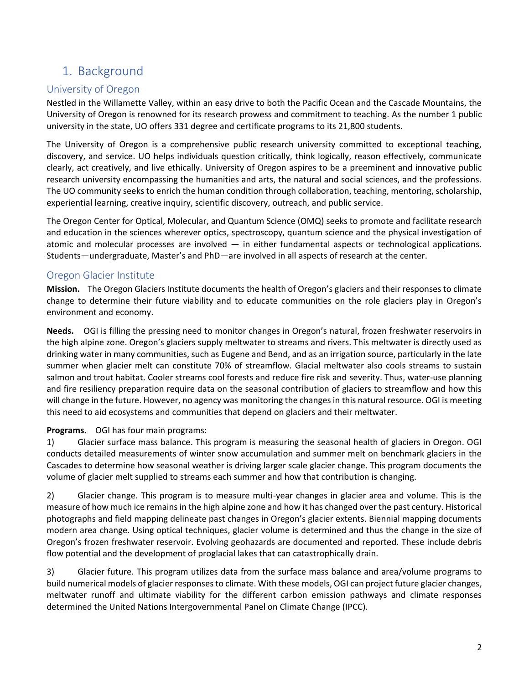# 1. Background

## University of Oregon

Nestled in the Willamette Valley, within an easy drive to both the Pacific Ocean and the Cascade Mountains, the University of Oregon is renowned for its research prowess and commitment to teaching. As the number 1 public university in the state, UO offers 331 degree and certificate programs to its 21,800 students.

The University of Oregon is a comprehensive public research university committed to exceptional teaching, discovery, and service. UO helps individuals question critically, think logically, reason effectively, communicate clearly, act creatively, and live ethically. University of Oregon aspires to be a preeminent and innovative public research university encompassing the humanities and arts, the natural and social sciences, and the professions. The UO community seeks to enrich the human condition through collaboration, teaching, mentoring, scholarship, experiential learning, creative inquiry, scientific discovery, outreach, and public service.

The Oregon Center for Optical, Molecular, and Quantum Science (OMQ) seeks to promote and facilitate research and education in the sciences wherever optics, spectroscopy, quantum science and the physical investigation of atomic and molecular processes are involved — in either fundamental aspects or technological applications. Students—undergraduate, Master's and PhD—are involved in all aspects of research at the center.

## Oregon Glacier Institute

**Mission.** The Oregon Glaciers Institute documents the health of Oregon's glaciers and their responses to climate change to determine their future viability and to educate communities on the role glaciers play in Oregon's environment and economy.

**Needs.** OGI is filling the pressing need to monitor changes in Oregon's natural, frozen freshwater reservoirs in the high alpine zone. Oregon's glaciers supply meltwater to streams and rivers. This meltwater is directly used as drinking water in many communities, such as Eugene and Bend, and as an irrigation source, particularly in the late summer when glacier melt can constitute 70% of streamflow. Glacial meltwater also cools streams to sustain salmon and trout habitat. Cooler streams cool forests and reduce fire risk and severity. Thus, water-use planning and fire resiliency preparation require data on the seasonal contribution of glaciers to streamflow and how this will change in the future. However, no agency was monitoring the changes in this natural resource. OGI is meeting this need to aid ecosystems and communities that depend on glaciers and their meltwater.

### **Programs.** OGI has four main programs:

1) Glacier surface mass balance. This program is measuring the seasonal health of glaciers in Oregon. OGI conducts detailed measurements of winter snow accumulation and summer melt on benchmark glaciers in the Cascades to determine how seasonal weather is driving larger scale glacier change. This program documents the volume of glacier melt supplied to streams each summer and how that contribution is changing.

2) Glacier change. This program is to measure multi-year changes in glacier area and volume. This is the measure of how much ice remains in the high alpine zone and how it has changed over the past century. Historical photographs and field mapping delineate past changes in Oregon's glacier extents. Biennial mapping documents modern area change. Using optical techniques, glacier volume is determined and thus the change in the size of Oregon's frozen freshwater reservoir. Evolving geohazards are documented and reported. These include debris flow potential and the development of proglacial lakes that can catastrophically drain.

3) Glacier future. This program utilizes data from the surface mass balance and area/volume programs to build numerical models of glacier responses to climate. With these models, OGI can project future glacier changes, meltwater runoff and ultimate viability for the different carbon emission pathways and climate responses determined the United Nations Intergovernmental Panel on Climate Change (IPCC).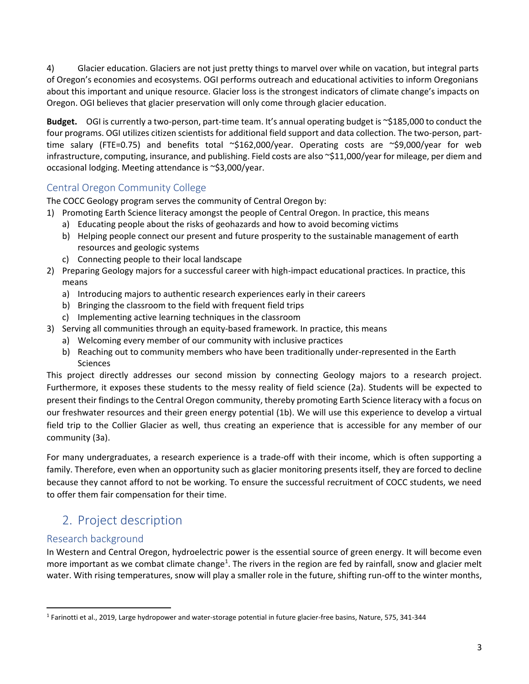4) Glacier education. Glaciers are not just pretty things to marvel over while on vacation, but integral parts of Oregon's economies and ecosystems. OGI performs outreach and educational activities to inform Oregonians about this important and unique resource. Glacier loss is the strongest indicators of climate change's impacts on Oregon. OGI believes that glacier preservation will only come through glacier education.

**Budget.** OGI is currently a two-person, part-time team. It's annual operating budget is ~\$185,000 to conduct the four programs. OGI utilizes citizen scientists for additional field support and data collection. The two-person, parttime salary (FTE=0.75) and benefits total ~\$162,000/year. Operating costs are ~\$9,000/year for web infrastructure, computing, insurance, and publishing. Field costs are also ~\$11,000/year for mileage, per diem and occasional lodging. Meeting attendance is ~\$3,000/year.

## Central Oregon Community College

The COCC Geology program serves the community of Central Oregon by:

- 1) Promoting Earth Science literacy amongst the people of Central Oregon. In practice, this means
	- a) Educating people about the risks of geohazards and how to avoid becoming victims
	- b) Helping people connect our present and future prosperity to the sustainable management of earth resources and geologic systems
	- c) Connecting people to their local landscape
- 2) Preparing Geology majors for a successful career with high-impact educational practices. In practice, this means
	- a) Introducing majors to authentic research experiences early in their careers
	- b) Bringing the classroom to the field with frequent field trips
	- c) Implementing active learning techniques in the classroom
- 3) Serving all communities through an equity-based framework. In practice, this means
	- a) Welcoming every member of our community with inclusive practices
	- b) Reaching out to community members who have been traditionally under-represented in the Earth Sciences

This project directly addresses our second mission by connecting Geology majors to a research project. Furthermore, it exposes these students to the messy reality of field science (2a). Students will be expected to present their findings to the Central Oregon community, thereby promoting Earth Science literacy with a focus on our freshwater resources and their green energy potential (1b). We will use this experience to develop a virtual field trip to the Collier Glacier as well, thus creating an experience that is accessible for any member of our community (3a).

For many undergraduates, a research experience is a trade-off with their income, which is often supporting a family. Therefore, even when an opportunity such as glacier monitoring presents itself, they are forced to decline because they cannot afford to not be working. To ensure the successful recruitment of COCC students, we need to offer them fair compensation for their time.

# 2. Project description

## Research background

In Western and Central Oregon, hydroelectric power is the essential source of green energy. It will become even more important as we combat climate change<sup>1</sup>. The rivers in the region are fed by rainfall, snow and glacier melt water. With rising temperatures, snow will play a smaller role in the future, shifting run-off to the winter months,

<sup>1</sup> Farinotti et al., 2019, Large hydropower and water-storage potential in future glacier-free basins, Nature, 575, 341-344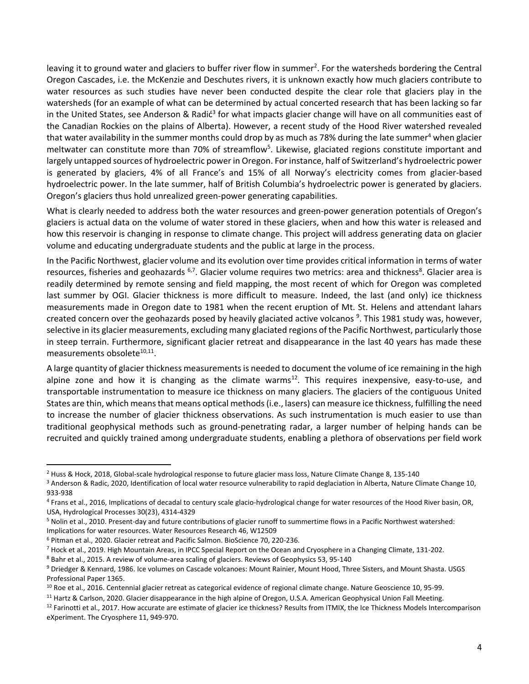leaving it to ground water and glaciers to buffer river flow in summer<sup>2</sup>. For the watersheds bordering the Central Oregon Cascades, i.e. the McKenzie and Deschutes rivers, it is unknown exactly how much glaciers contribute to water resources as such studies have never been conducted despite the clear role that glaciers play in the watersheds (for an example of what can be determined by actual concerted research that has been lacking so far in the United States, see Anderson & Radić<sup>3</sup> for what impacts glacier change will have on all communities east of the Canadian Rockies on the plains of Alberta). However, a recent study of the Hood River watershed revealed that water availability in the summer months could drop by as much as 78% during the late summer<sup>4</sup> when glacier meltwater can constitute more than 70% of streamflow<sup>5</sup>. Likewise, glaciated regions constitute important and largely untapped sources of hydroelectric power in Oregon. For instance, half of Switzerland's hydroelectric power is generated by glaciers, 4% of all France's and 15% of all Norway's electricity comes from glacier-based hydroelectric power. In the late summer, half of British Columbia's hydroelectric power is generated by glaciers. Oregon's glaciers thus hold unrealized green-power generating capabilities.

What is clearly needed to address both the water resources and green-power generation potentials of Oregon's glaciers is actual data on the volume of water stored in these glaciers, when and how this water is released and how this reservoir is changing in response to climate change. This project will address generating data on glacier volume and educating undergraduate students and the public at large in the process.

In the Pacific Northwest, glacier volume and its evolution over time provides critical information in terms of water resources, fisheries and geohazards <sup>6,7</sup>. Glacier volume requires two metrics: area and thickness<sup>8</sup>. Glacier area is readily determined by remote sensing and field mapping, the most recent of which for Oregon was completed last summer by OGI. Glacier thickness is more difficult to measure. Indeed, the last (and only) ice thickness measurements made in Oregon date to 1981 when the recent eruption of Mt. St. Helens and attendant lahars created concern over the geohazards posed by heavily glaciated active volcanos <sup>9</sup>. This 1981 study was, however, selective in its glacier measurements, excluding many glaciated regions of the Pacific Northwest, particularly those in steep terrain. Furthermore, significant glacier retreat and disappearance in the last 40 years has made these measurements obsolete<sup>10,11</sup>.

A large quantity of glacier thickness measurements is needed to document the volume of ice remaining in the high alpine zone and how it is changing as the climate warms<sup>12</sup>. This requires inexpensive, easy-to-use, and transportable instrumentation to measure ice thickness on many glaciers. The glaciers of the contiguous United States are thin, which means that means optical methods (i.e., lasers) can measure ice thickness, fulfilling the need to increase the number of glacier thickness observations. As such instrumentation is much easier to use than traditional geophysical methods such as ground-penetrating radar, a larger number of helping hands can be recruited and quickly trained among undergraduate students, enabling a plethora of observations per field work

<sup>&</sup>lt;sup>2</sup> Huss & Hock, 2018, Global-scale hydrological response to future glacier mass loss, Nature Climate Change 8, 135-140

<sup>&</sup>lt;sup>3</sup> Anderson & Radic, 2020, Identification of local water resource vulnerability to rapid deglaciation in Alberta, Nature Climate Change 10, 933-938

<sup>4</sup> Frans et al., 2016, Implications of decadal to century scale glacio-hydrological change for water resources of the Hood River basin, OR, USA, Hydrological Processes 30(23), 4314-4329

<sup>5</sup> Nolin et al., 2010. Present-day and future contributions of glacier runoff to summertime flows in a Pacific Northwest watershed: Implications for water resources. Water Resources Research 46, W12509

<sup>6</sup> Pitman et al., 2020. Glacier retreat and Pacific Salmon. BioScience 70, 220-236.

 $<sup>7</sup>$  Hock et al., 2019. High Mountain Areas, in IPCC Special Report on the Ocean and Cryosphere in a Changing Climate, 131-202.</sup>

<sup>8</sup> Bahr et al., 2015. A review of volume-area scaling of glaciers. Reviews of Geophysics 53, 95-140

<sup>9</sup> Driedger & Kennard, 1986. Ice volumes on Cascade volcanoes: Mount Rainier, Mount Hood, Three Sisters, and Mount Shasta. USGS Professional Paper 1365.

<sup>&</sup>lt;sup>10</sup> Roe et al., 2016. Centennial glacier retreat as categorical evidence of regional climate change. Nature Geoscience 10, 95-99.

<sup>&</sup>lt;sup>11</sup> Hartz & Carlson, 2020. Glacier disappearance in the high alpine of Oregon, U.S.A. American Geophysical Union Fall Meeting.

 $12$  Farinotti et al., 2017. How accurate are estimate of glacier ice thickness? Results from ITMIX, the Ice Thickness Models Intercomparison eXperiment. The Cryosphere 11, 949-970.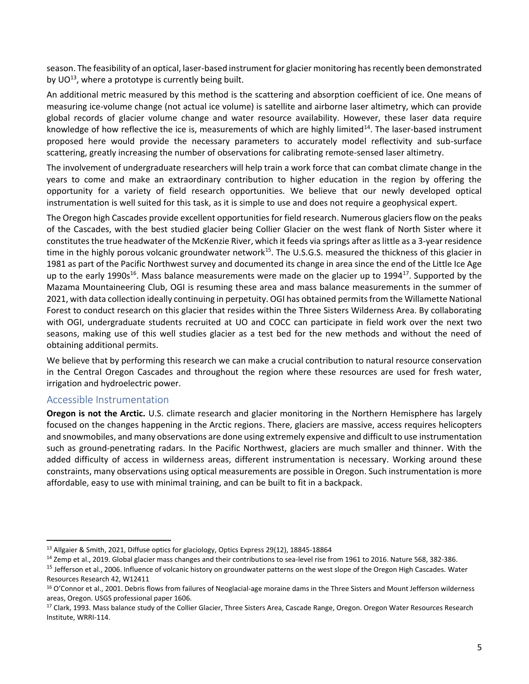season. The feasibility of an optical, laser-based instrument for glacier monitoring has recently been demonstrated by  $UO^{13}$ , where a prototype is currently being built.

An additional metric measured by this method is the scattering and absorption coefficient of ice. One means of measuring ice-volume change (not actual ice volume) is satellite and airborne laser altimetry, which can provide global records of glacier volume change and water resource availability. However, these laser data require knowledge of how reflective the ice is, measurements of which are highly limited<sup>14</sup>. The laser-based instrument proposed here would provide the necessary parameters to accurately model reflectivity and sub-surface scattering, greatly increasing the number of observations for calibrating remote-sensed laser altimetry.

The involvement of undergraduate researchers will help train a work force that can combat climate change in the years to come and make an extraordinary contribution to higher education in the region by offering the opportunity for a variety of field research opportunities. We believe that our newly developed optical instrumentation is well suited for this task, as it is simple to use and does not require a geophysical expert.

The Oregon high Cascades provide excellent opportunities for field research. Numerous glaciers flow on the peaks of the Cascades, with the best studied glacier being Collier Glacier on the west flank of North Sister where it constitutes the true headwater of the McKenzie River, which it feeds via springs after as little as a 3-year residence time in the highly porous volcanic groundwater network<sup>15</sup>. The U.S.G.S. measured the thickness of this glacier in 1981 as part of the Pacific Northwest survey and documented its change in area since the end of the Little Ice Age up to the early 1990s<sup>16</sup>. Mass balance measurements were made on the glacier up to 1994<sup>17</sup>. Supported by the Mazama Mountaineering Club, OGI is resuming these area and mass balance measurements in the summer of 2021, with data collection ideally continuing in perpetuity. OGI has obtained permits from the Willamette National Forest to conduct research on this glacier that resides within the Three Sisters Wilderness Area. By collaborating with OGI, undergraduate students recruited at UO and COCC can participate in field work over the next two seasons, making use of this well studies glacier as a test bed for the new methods and without the need of obtaining additional permits.

We believe that by performing this research we can make a crucial contribution to natural resource conservation in the Central Oregon Cascades and throughout the region where these resources are used for fresh water, irrigation and hydroelectric power.

#### Accessible Instrumentation

**Oregon is not the Arctic.** U.S. climate research and glacier monitoring in the Northern Hemisphere has largely focused on the changes happening in the Arctic regions. There, glaciers are massive, access requires helicopters and snowmobiles, and many observations are done using extremely expensive and difficult to use instrumentation such as ground-penetrating radars. In the Pacific Northwest, glaciers are much smaller and thinner. With the added difficulty of access in wilderness areas, different instrumentation is necessary. Working around these constraints, many observations using optical measurements are possible in Oregon. Such instrumentation is more affordable, easy to use with minimal training, and can be built to fit in a backpack.

<sup>&</sup>lt;sup>13</sup> Allgaier & Smith, 2021, Diffuse optics for glaciology, Optics Express 29(12), 18845-18864

<sup>&</sup>lt;sup>14</sup> Zemp et al., 2019. Global glacier mass changes and their contributions to sea-level rise from 1961 to 2016. Nature 568, 382-386.

<sup>&</sup>lt;sup>15</sup> Jefferson et al., 2006. Influence of volcanic history on groundwater patterns on the west slope of the Oregon High Cascades. Water Resources Research 42, W12411

<sup>&</sup>lt;sup>16</sup> O'Connor et al., 2001. Debris flows from failures of Neoglacial-age moraine dams in the Three Sisters and Mount Jefferson wilderness areas, Oregon. USGS professional paper 1606.

<sup>&</sup>lt;sup>17</sup> Clark, 1993. Mass balance study of the Collier Glacier, Three Sisters Area, Cascade Range, Oregon. Oregon Water Resources Research Institute, WRRI-114.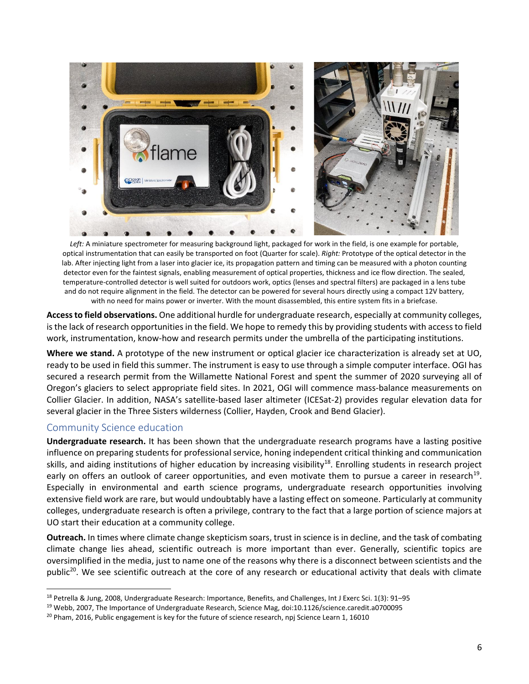

*Left:* A miniature spectrometer for measuring background light, packaged for work in the field, is one example for portable, optical instrumentation that can easily be transported on foot (Quarter for scale). *Right:* Prototype of the optical detector in the lab. After injecting light from a laser into glacier ice, its propagation pattern and timing can be measured with a photon counting detector even for the faintest signals, enabling measurement of optical properties, thickness and ice flow direction. The sealed, temperature-controlled detector is well suited for outdoors work, optics (lenses and spectral filters) are packaged in a lens tube and do not require alignment in the field. The detector can be powered for several hours directly using a compact 12V battery, with no need for mains power or inverter. With the mount disassembled, this entire system fits in a briefcase.

**Access to field observations.** One additional hurdle for undergraduate research, especially at community colleges, is the lack of research opportunities in the field. We hope to remedy this by providing students with access to field work, instrumentation, know-how and research permits under the umbrella of the participating institutions.

**Where we stand.** A prototype of the new instrument or optical glacier ice characterization is already set at UO, ready to be used in field this summer. The instrument is easy to use through a simple computer interface. OGI has secured a research permit from the Willamette National Forest and spent the summer of 2020 surveying all of Oregon's glaciers to select appropriate field sites. In 2021, OGI will commence mass-balance measurements on Collier Glacier. In addition, NASA's satellite-based laser altimeter (ICESat-2) provides regular elevation data for several glacier in the Three Sisters wilderness (Collier, Hayden, Crook and Bend Glacier).

### Community Science education

**Undergraduate research.** It has been shown that the undergraduate research programs have a lasting positive influence on preparing students for professional service, honing independent critical thinking and communication skills, and aiding institutions of higher education by increasing visibility<sup>18</sup>. Enrolling students in research project early on offers an outlook of career opportunities, and even motivate them to pursue a career in research<sup>19</sup>. Especially in environmental and earth science programs, undergraduate research opportunities involving extensive field work are rare, but would undoubtably have a lasting effect on someone. Particularly at community colleges, undergraduate research is often a privilege, contrary to the fact that a large portion of science majors at UO start their education at a community college.

**Outreach.** In times where climate change skepticism soars, trust in science is in decline, and the task of combating climate change lies ahead, scientific outreach is more important than ever. Generally, scientific topics are oversimplified in the media, just to name one of the reasons why there is a disconnect between scientists and the public<sup>20</sup>. We see scientific outreach at the core of any research or educational activity that deals with climate

<sup>18</sup> Petrella & Jung, 2008, Undergraduate Research: Importance, Benefits, and Challenges, Int J Exerc Sci. 1(3): 91-95

<sup>19</sup> Webb, 2007, The Importance of Undergraduate Research, Science Mag, doi:10.1126/science.caredit.a0700095

<sup>&</sup>lt;sup>20</sup> Pham, 2016, Public engagement is key for the future of science research, npj Science Learn 1, 16010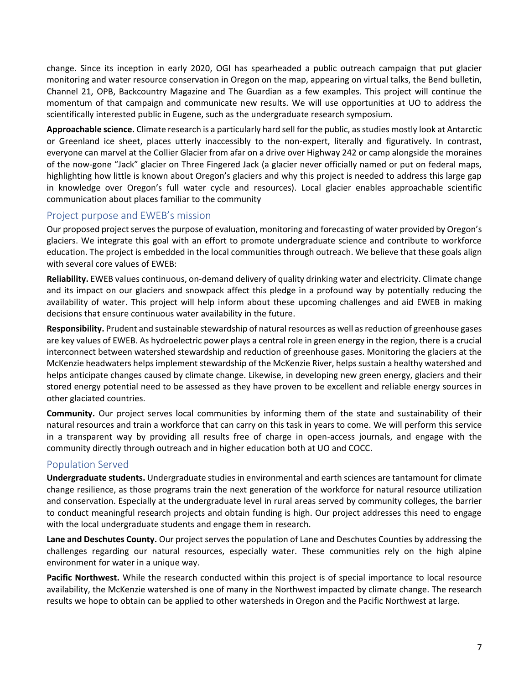change. Since its inception in early 2020, OGI has spearheaded a public outreach campaign that put glacier monitoring and water resource conservation in Oregon on the map, appearing on virtual talks, the Bend bulletin, Channel 21, OPB, Backcountry Magazine and The Guardian as a few examples. This project will continue the momentum of that campaign and communicate new results. We will use opportunities at UO to address the scientifically interested public in Eugene, such as the undergraduate research symposium.

**Approachable science.** Climate research is a particularly hard sell for the public, as studies mostly look at Antarctic or Greenland ice sheet, places utterly inaccessibly to the non-expert, literally and figuratively. In contrast, everyone can marvel at the Collier Glacier from afar on a drive over Highway 242 or camp alongside the moraines of the now-gone "Jack" glacier on Three Fingered Jack (a glacier never officially named or put on federal maps, highlighting how little is known about Oregon's glaciers and why this project is needed to address this large gap in knowledge over Oregon's full water cycle and resources). Local glacier enables approachable scientific communication about places familiar to the community

## Project purpose and EWEB's mission

Our proposed project serves the purpose of evaluation, monitoring and forecasting of water provided by Oregon's glaciers. We integrate this goal with an effort to promote undergraduate science and contribute to workforce education. The project is embedded in the local communities through outreach. We believe that these goals align with several core values of EWEB:

**Reliability.** EWEB values continuous, on-demand delivery of quality drinking water and electricity. Climate change and its impact on our glaciers and snowpack affect this pledge in a profound way by potentially reducing the availability of water. This project will help inform about these upcoming challenges and aid EWEB in making decisions that ensure continuous water availability in the future.

**Responsibility.** Prudent and sustainable stewardship of natural resources as well as reduction of greenhouse gases are key values of EWEB. As hydroelectric power plays a central role in green energy in the region, there is a crucial interconnect between watershed stewardship and reduction of greenhouse gases. Monitoring the glaciers at the McKenzie headwaters helps implement stewardship of the McKenzie River, helps sustain a healthy watershed and helps anticipate changes caused by climate change. Likewise, in developing new green energy, glaciers and their stored energy potential need to be assessed as they have proven to be excellent and reliable energy sources in other glaciated countries.

**Community.** Our project serves local communities by informing them of the state and sustainability of their natural resources and train a workforce that can carry on this task in years to come. We will perform this service in a transparent way by providing all results free of charge in open-access journals, and engage with the community directly through outreach and in higher education both at UO and COCC.

## Population Served

**Undergraduate students.** Undergraduate studies in environmental and earth sciences are tantamount for climate change resilience, as those programs train the next generation of the workforce for natural resource utilization and conservation. Especially at the undergraduate level in rural areas served by community colleges, the barrier to conduct meaningful research projects and obtain funding is high. Our project addresses this need to engage with the local undergraduate students and engage them in research.

**Lane and Deschutes County.** Our project serves the population of Lane and Deschutes Counties by addressing the challenges regarding our natural resources, especially water. These communities rely on the high alpine environment for water in a unique way.

**Pacific Northwest.** While the research conducted within this project is of special importance to local resource availability, the McKenzie watershed is one of many in the Northwest impacted by climate change. The research results we hope to obtain can be applied to other watersheds in Oregon and the Pacific Northwest at large.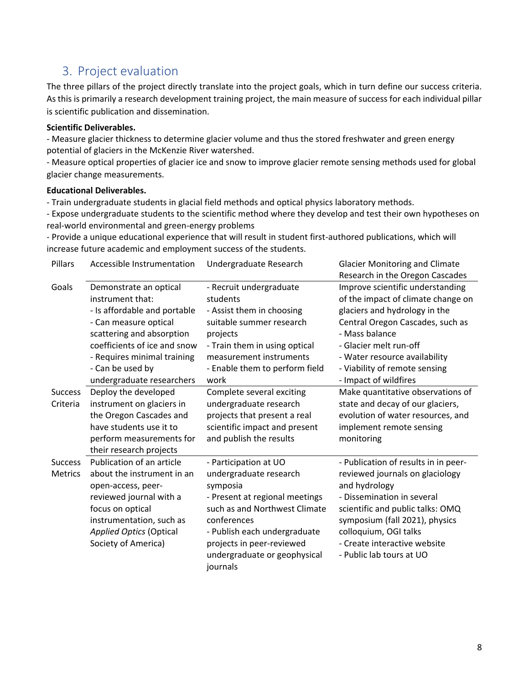# 3. Project evaluation

The three pillars of the project directly translate into the project goals, which in turn define our success criteria. As this is primarily a research development training project, the main measure of success for each individual pillar is scientific publication and dissemination.

### **Scientific Deliverables.**

- Measure glacier thickness to determine glacier volume and thus the stored freshwater and green energy potential of glaciers in the McKenzie River watershed.

- Measure optical properties of glacier ice and snow to improve glacier remote sensing methods used for global glacier change measurements.

#### **Educational Deliverables.**

- Train undergraduate students in glacial field methods and optical physics laboratory methods.

- Expose undergraduate students to the scientific method where they develop and test their own hypotheses on real-world environmental and green-energy problems

- Provide a unique educational experience that will result in student first-authored publications, which will increase future academic and employment success of the students.

| Pillars        | Accessible Instrumentation     | Undergraduate Research           | <b>Glacier Monitoring and Climate</b> |  |  |  |  |  |  |
|----------------|--------------------------------|----------------------------------|---------------------------------------|--|--|--|--|--|--|
|                |                                |                                  | Research in the Oregon Cascades       |  |  |  |  |  |  |
| Goals          | Demonstrate an optical         | - Recruit undergraduate          | Improve scientific understanding      |  |  |  |  |  |  |
|                | instrument that:               | students                         | of the impact of climate change on    |  |  |  |  |  |  |
|                | - Is affordable and portable   | - Assist them in choosing        | glaciers and hydrology in the         |  |  |  |  |  |  |
|                | - Can measure optical          | suitable summer research         | Central Oregon Cascades, such as      |  |  |  |  |  |  |
|                | scattering and absorption      | projects                         | - Mass balance                        |  |  |  |  |  |  |
|                | coefficients of ice and snow   | - Train them in using optical    | - Glacier melt run-off                |  |  |  |  |  |  |
|                | - Requires minimal training    | measurement instruments          | - Water resource availability         |  |  |  |  |  |  |
|                | - Can be used by               | - Enable them to perform field   | - Viability of remote sensing         |  |  |  |  |  |  |
|                | undergraduate researchers      | work                             | - Impact of wildfires                 |  |  |  |  |  |  |
| <b>Success</b> | Deploy the developed           | Complete several exciting        | Make quantitative observations of     |  |  |  |  |  |  |
| Criteria       | instrument on glaciers in      | state and decay of our glaciers, |                                       |  |  |  |  |  |  |
|                | the Oregon Cascades and        | projects that present a real     | evolution of water resources, and     |  |  |  |  |  |  |
|                | have students use it to        | scientific impact and present    | implement remote sensing              |  |  |  |  |  |  |
|                | perform measurements for       | and publish the results          | monitoring                            |  |  |  |  |  |  |
|                | their research projects        |                                  |                                       |  |  |  |  |  |  |
| <b>Success</b> | Publication of an article      | - Participation at UO            | - Publication of results in in peer-  |  |  |  |  |  |  |
| <b>Metrics</b> | about the instrument in an     | undergraduate research           | reviewed journals on glaciology       |  |  |  |  |  |  |
|                | open-access, peer-             | symposia                         | and hydrology                         |  |  |  |  |  |  |
|                | reviewed journal with a        | - Present at regional meetings   | - Dissemination in several            |  |  |  |  |  |  |
|                | focus on optical               | such as and Northwest Climate    | scientific and public talks: OMQ      |  |  |  |  |  |  |
|                | instrumentation, such as       | conferences                      | symposium (fall 2021), physics        |  |  |  |  |  |  |
|                | <b>Applied Optics (Optical</b> | - Publish each undergraduate     | colloquium, OGI talks                 |  |  |  |  |  |  |
|                | Society of America)            | projects in peer-reviewed        | - Create interactive website          |  |  |  |  |  |  |
|                |                                | undergraduate or geophysical     | - Public lab tours at UO              |  |  |  |  |  |  |
|                |                                | journals                         |                                       |  |  |  |  |  |  |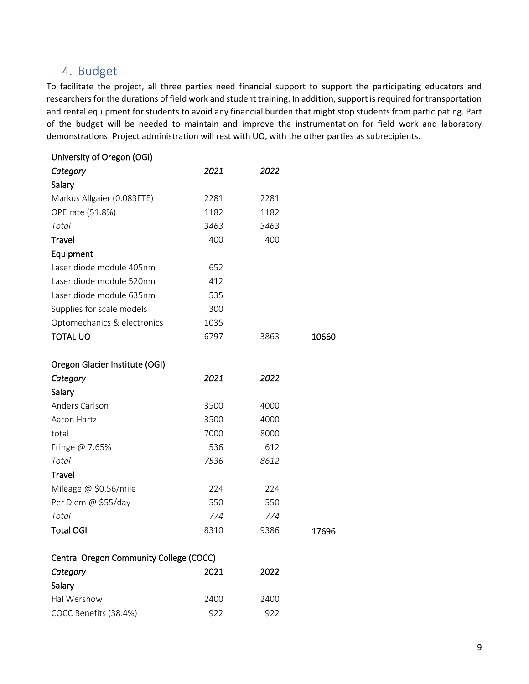# 4. Budget

To facilitate the project, all three parties need financial support to support the participating educators and researchers for the durations of field work and student training. In addition, support is required for transportation and rental equipment for students to avoid any financial burden that might stop students from participating. Part of the budget will be needed to maintain and improve the instrumentation for field work and laboratory demonstrations. Project administration will rest with UO, with the other parties as subrecipients.

| University of Oregon (OGI)              |      |      |       |
|-----------------------------------------|------|------|-------|
| Category                                | 2021 | 2022 |       |
| Salary                                  |      |      |       |
| Markus Allgaier (0.083FTE)              | 2281 | 2281 |       |
| OPE rate (51.8%)                        | 1182 | 1182 |       |
| Total                                   | 3463 | 3463 |       |
| <b>Travel</b>                           | 400  | 400  |       |
| Equipment                               |      |      |       |
| Laser diode module 405nm                | 652  |      |       |
| Laser diode module 520nm                | 412  |      |       |
| Laser diode module 635nm                | 535  |      |       |
| Supplies for scale models               | 300  |      |       |
| Optomechanics & electronics             | 1035 |      |       |
| <b>TOTAL UO</b>                         | 6797 | 3863 | 10660 |
| Oregon Glacier Institute (OGI)          |      |      |       |
| Category                                | 2021 | 2022 |       |
| Salary                                  |      |      |       |
| Anders Carlson                          | 3500 | 4000 |       |
| Aaron Hartz                             | 3500 | 4000 |       |
| total                                   | 7000 | 8000 |       |
| Fringe @ 7.65%                          | 536  | 612  |       |
| Total                                   | 7536 | 8612 |       |
| Travel                                  |      |      |       |
| Mileage @ \$0.56/mile                   | 224  | 224  |       |
| Per Diem @ \$55/day                     | 550  | 550  |       |
| Total                                   | 774  | 774  |       |
| <b>Total OGI</b>                        | 8310 | 9386 | 17696 |
| Central Oregon Community College (COCC) |      |      |       |
| Category                                | 2021 | 2022 |       |
| Salary                                  |      |      |       |
| Hal Wershow                             | 2400 | 2400 |       |
| COCC Benefits (38.4%)                   | 922  | 922  |       |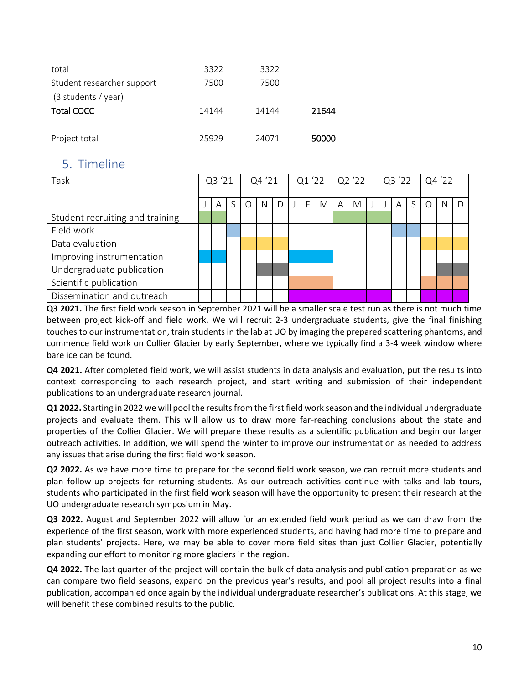| total                      | 3322  | 3322  |       |
|----------------------------|-------|-------|-------|
| Student researcher support | 7500  | 7500  |       |
| (3 students / year)        |       |       |       |
| <b>Total COCC</b>          | 14144 | 14144 | 21644 |
|                            |       |       |       |
| Project total              | 25929 | 24071 | 50000 |

# 5. Timeline

| Task                            | Q3 '21 |   | Q4 '21 |  | $Q1'22$ $Q2'22$ |   |  |   |   | Q3'22 |   |  | Q4 '22 |   |   |   |   |   |
|---------------------------------|--------|---|--------|--|-----------------|---|--|---|---|-------|---|--|--------|---|---|---|---|---|
|                                 |        | A |        |  | N               | D |  | F | M | A     | M |  |        | A | S | U | N | D |
| Student recruiting and training |        |   |        |  |                 |   |  |   |   |       |   |  |        |   |   |   |   |   |
| Field work                      |        |   |        |  |                 |   |  |   |   |       |   |  |        |   |   |   |   |   |
| Data evaluation                 |        |   |        |  |                 |   |  |   |   |       |   |  |        |   |   |   |   |   |
| Improving instrumentation       |        |   |        |  |                 |   |  |   |   |       |   |  |        |   |   |   |   |   |
| Undergraduate publication       |        |   |        |  |                 |   |  |   |   |       |   |  |        |   |   |   |   |   |
| Scientific publication          |        |   |        |  |                 |   |  |   |   |       |   |  |        |   |   |   |   |   |
| Dissemination and outreach      |        |   |        |  |                 |   |  |   |   |       |   |  |        |   |   |   |   |   |

**Q3 2021.** The first field work season in September 2021 will be a smaller scale test run as there is not much time between project kick-off and field work. We will recruit 2-3 undergraduate students, give the final finishing touches to our instrumentation, train students in the lab at UO by imaging the prepared scattering phantoms, and commence field work on Collier Glacier by early September, where we typically find a 3-4 week window where bare ice can be found.

**Q4 2021.** After completed field work, we will assist students in data analysis and evaluation, put the results into context corresponding to each research project, and start writing and submission of their independent publications to an undergraduate research journal.

**Q1 2022.** Starting in 2022 we will pool the results from the first field work season and the individual undergraduate projects and evaluate them. This will allow us to draw more far-reaching conclusions about the state and properties of the Collier Glacier. We will prepare these results as a scientific publication and begin our larger outreach activities. In addition, we will spend the winter to improve our instrumentation as needed to address any issues that arise during the first field work season.

**Q2 2022.** As we have more time to prepare for the second field work season, we can recruit more students and plan follow-up projects for returning students. As our outreach activities continue with talks and lab tours, students who participated in the first field work season will have the opportunity to present their research at the UO undergraduate research symposium in May.

**Q3 2022.** August and September 2022 will allow for an extended field work period as we can draw from the experience of the first season, work with more experienced students, and having had more time to prepare and plan students' projects. Here, we may be able to cover more field sites than just Collier Glacier, potentially expanding our effort to monitoring more glaciers in the region.

**Q4 2022.** The last quarter of the project will contain the bulk of data analysis and publication preparation as we can compare two field seasons, expand on the previous year's results, and pool all project results into a final publication, accompanied once again by the individual undergraduate researcher's publications. At this stage, we will benefit these combined results to the public.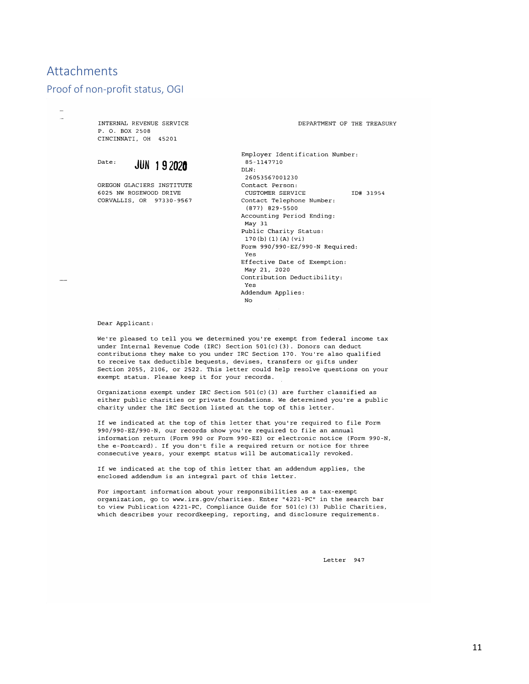# Attachments

### Proof of non-profit status, OGI

INTERNAL REVENUE SERVICE P. O. BOX 2508 CINCINNATI, OH 45201



OREGON GLACIERS INSTITUTE 6025 NW ROSEWOOD DRIVE CORVALLIS, OR 97330-9567

DEPARTMENT OF THE TREASURY

Employer Identification Number: 85-1147710 DLN: 26053567001230 Contact Person: CUSTOMER SERVICE TD# 31954 Contact Telephone Number:  $(877)$  829-5500 Accounting Period Ending: May 31 Public Charity Status:  $170(b)(1)(A)(vi)$ Form 990/990-EZ/990-N Required: Yes Effective Date of Exemption: May 21, 2020 Contribution Deductibility: Yes Addendum Applies: No

Dear Applicant:

We're pleased to tell you we determined you're exempt from federal income tax under Internal Revenue Code (IRC) Section 501(c)(3). Donors can deduct contributions they make to you under IRC Section 170. You're also qualified to receive tax deductible bequests, devises, transfers or gifts under Section 2055, 2106, or 2522. This letter could help resolve questions on your exempt status. Please keep it for your records.

Organizations exempt under IRC Section 501(c)(3) are further classified as either public charities or private foundations. We determined you're a public charity under the IRC Section listed at the top of this letter.

If we indicated at the top of this letter that you're required to file Form 990/990-EZ/990-N, our records show you're required to file an annual information return (Form 990 or Form 990-EZ) or electronic notice (Form 990-N, the e-Postcard). If you don't file a required return or notice for three consecutive years, your exempt status will be automatically revoked.

If we indicated at the top of this letter that an addendum applies, the enclosed addendum is an integral part of this letter.

For important information about your responsibilities as a tax-exempt organization, go to www.irs.gov/charities. Enter "4221-PC" in the search bar to view Publication 4221-PC, Compliance Guide for 501(c) (3) Public Charities, which describes your recordkeeping, reporting, and disclosure requirements.

Letter 947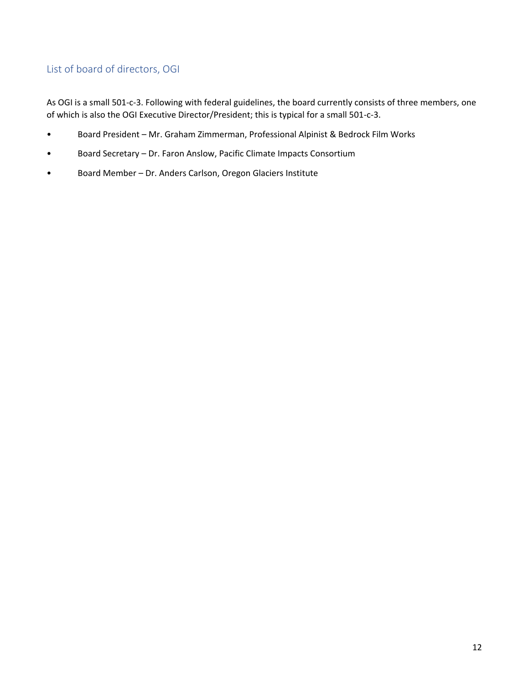# List of board of directors, OGI

As OGI is a small 501-c-3. Following with federal guidelines, the board currently consists of three members, one of which is also the OGI Executive Director/President; this is typical for a small 501-c-3.

- Board President Mr. Graham Zimmerman, Professional Alpinist & Bedrock Film Works
- Board Secretary Dr. Faron Anslow, Pacific Climate Impacts Consortium
- Board Member Dr. Anders Carlson, Oregon Glaciers Institute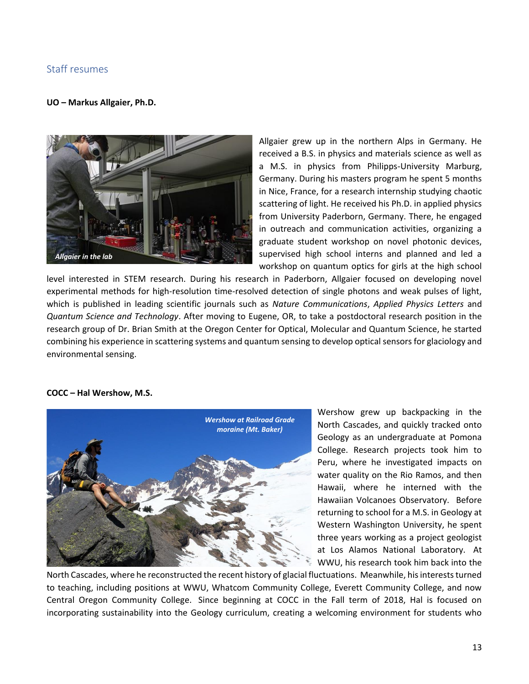## Staff resumes

#### **UO – Markus Allgaier, Ph.D.**



Allgaier grew up in the northern Alps in Germany. He received a B.S. in physics and materials science as well as a M.S. in physics from Philipps-University Marburg, Germany. During his masters program he spent 5 months in Nice, France, for a research internship studying chaotic scattering of light. He received his Ph.D. in applied physics from University Paderborn, Germany. There, he engaged in outreach and communication activities, organizing a graduate student workshop on novel photonic devices, supervised high school interns and planned and led a workshop on quantum optics for girls at the high school

level interested in STEM research. During his research in Paderborn, Allgaier focused on developing novel experimental methods for high-resolution time-resolved detection of single photons and weak pulses of light, which is published in leading scientific journals such as *Nature Communications*, *Applied Physics Letters* and *Quantum Science and Technology*. After moving to Eugene, OR, to take a postdoctoral research position in the research group of Dr. Brian Smith at the Oregon Center for Optical, Molecular and Quantum Science, he started combining his experience in scattering systems and quantum sensing to develop optical sensors for glaciology and environmental sensing.

#### **COCC – Hal Wershow, M.S.**



Wershow grew up backpacking in the North Cascades, and quickly tracked onto Geology as an undergraduate at Pomona College. Research projects took him to Peru, where he investigated impacts on water quality on the Rio Ramos, and then Hawaii, where he interned with the Hawaiian Volcanoes Observatory. Before returning to school for a M.S. in Geology at Western Washington University, he spent three years working as a project geologist at Los Alamos National Laboratory. At WWU, his research took him back into the

North Cascades, where he reconstructed the recent history of glacial fluctuations. Meanwhile, his interests turned to teaching, including positions at WWU, Whatcom Community College, Everett Community College, and now Central Oregon Community College. Since beginning at COCC in the Fall term of 2018, Hal is focused on incorporating sustainability into the Geology curriculum, creating a welcoming environment for students who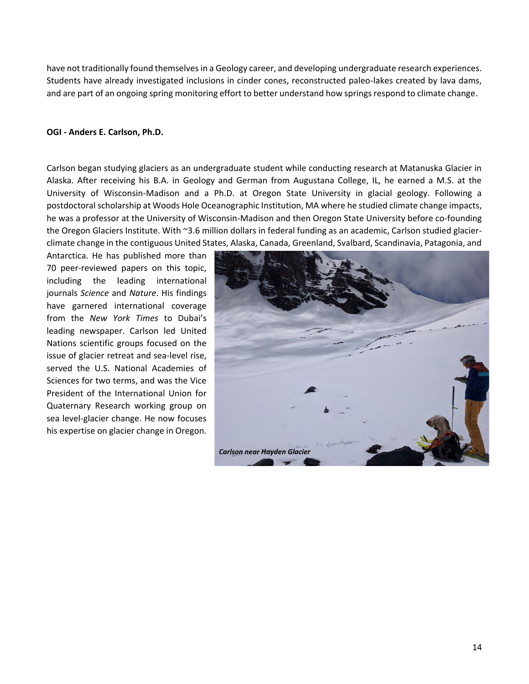have not traditionally found themselves in a Geology career, and developing undergraduate research experiences. Students have already investigated inclusions in cinder cones, reconstructed paleo-lakes created by lava dams, and are part of an ongoing spring monitoring effort to better understand how springs respond to climate change.

#### **OGI - Anders E. Carlson, Ph.D.**

Carlson began studying glaciers as an undergraduate student while conducting research at Matanuska Glacier in Alaska. After receiving his B.A. in Geology and German from Augustana College, IL, he earned a M.S. at the University of Wisconsin-Madison and a Ph.D. at Oregon State University in glacial geology. Following a postdoctoral scholarship at Woods Hole Oceanographic Institution, MA where he studied climate change impacts, he was a professor at the University of Wisconsin-Madison and then Oregon State University before co-founding the Oregon Glaciers Institute. With ~3.6 million dollars in federal funding as an academic, Carlson studied glacierclimate change in the contiguous United States, Alaska, Canada, Greenland, Svalbard, Scandinavia, Patagonia, and

Antarctica. He has published more than 70 peer-reviewed papers on this topic, including the leading international journals *Science* and *Nature*. His findings have garnered international coverage from the *New York Times* to Dubai's leading newspaper. Carlson led United Nations scientific groups focused on the issue of glacier retreat and sea-level rise, served the U.S. National Academies of Sciences for two terms, and was the Vice President of the International Union for Quaternary Research working group on sea level-glacier change. He now focuses his expertise on glacier change in Oregon.